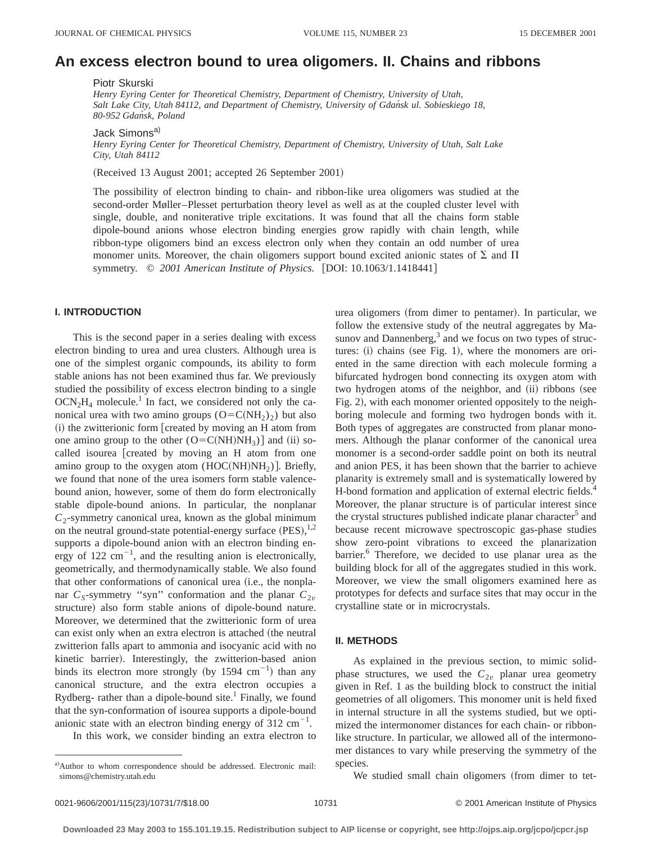# **An excess electron bound to urea oligomers. II. Chains and ribbons**

Piotr Skurski

*Henry Eyring Center for Theoretical Chemistry, Department of Chemistry, University of Utah, Salt Lake City, Utah 84112, and Department of Chemistry, University of Gdan´sk ul. Sobieskiego 18, 80-952 Gdan´sk, Poland*

Jack Simons<sup>a)</sup>

*Henry Eyring Center for Theoretical Chemistry, Department of Chemistry, University of Utah, Salt Lake City, Utah 84112*

(Received 13 August 2001; accepted 26 September 2001)

The possibility of electron binding to chain- and ribbon-like urea oligomers was studied at the second-order Møller–Plesset perturbation theory level as well as at the coupled cluster level with single, double, and noniterative triple excitations. It was found that all the chains form stable dipole-bound anions whose electron binding energies grow rapidly with chain length, while ribbon-type oligomers bind an excess electron only when they contain an odd number of urea monomer units. Moreover, the chain oligomers support bound excited anionic states of  $\Sigma$  and  $\Pi$ symmetry.  $\oslash$  2001 American Institute of Physics. [DOI: 10.1063/1.1418441]

## **I. INTRODUCTION**

This is the second paper in a series dealing with excess electron binding to urea and urea clusters. Although urea is one of the simplest organic compounds, its ability to form stable anions has not been examined thus far. We previously studied the possibility of excess electron binding to a single  $OCN<sub>2</sub>H<sub>4</sub>$  molecule.<sup>1</sup> In fact, we considered not only the canonical urea with two amino groups  $(O=C(NH_2)_2)$  but also (i) the zwitterionic form [created by moving an H atom from one amino group to the other  $(O=C(NH)NH<sub>3</sub>)$  and (ii) socalled isourea [created by moving an H atom from one amino group to the oxygen atom  $(HOC(NH)NH<sub>2</sub>)$ . Briefly, we found that none of the urea isomers form stable valencebound anion, however, some of them do form electronically stable dipole-bound anions. In particular, the nonplanar  $C_2$ -symmetry canonical urea, known as the global minimum on the neutral ground-state potential-energy surface  $(PES),<sup>1,2</sup>$ supports a dipole-bound anion with an electron binding energy of 122  $\text{cm}^{-1}$ , and the resulting anion is electronically, geometrically, and thermodynamically stable. We also found that other conformations of canonical urea (i.e., the nonplanar  $C_S$ -symmetry "syn" conformation and the planar  $C_{2v}$ structure) also form stable anions of dipole-bound nature. Moreover, we determined that the zwitterionic form of urea can exist only when an extra electron is attached (the neutral zwitterion falls apart to ammonia and isocyanic acid with no kinetic barrier). Interestingly, the zwitterion-based anion binds its electron more strongly (by 1594  $\text{cm}^{-1}$ ) than any canonical structure, and the extra electron occupies a Rydberg- rather than a dipole-bound site.<sup>1</sup> Finally, we found that the syn-conformation of isourea supports a dipole-bound anionic state with an electron binding energy of  $312 \text{ cm}^{-1}$ .

In this work, we consider binding an extra electron to

urea oligomers (from dimer to pentamer). In particular, we follow the extensive study of the neutral aggregates by Masunov and Dannenberg,<sup>3</sup> and we focus on two types of structures:  $(i)$  chains (see Fig. 1), where the monomers are oriented in the same direction with each molecule forming a bifurcated hydrogen bond connecting its oxygen atom with two hydrogen atoms of the neighbor, and  $(ii)$  ribbons (see Fig. 2), with each monomer oriented oppositely to the neighboring molecule and forming two hydrogen bonds with it. Both types of aggregates are constructed from planar monomers. Although the planar conformer of the canonical urea monomer is a second-order saddle point on both its neutral and anion PES, it has been shown that the barrier to achieve planarity is extremely small and is systematically lowered by H-bond formation and application of external electric fields.<sup>4</sup> Moreover, the planar structure is of particular interest since the crystal structures published indicate planar character<sup>5</sup> and because recent microwave spectroscopic gas-phase studies show zero-point vibrations to exceed the planarization barrier.<sup>6</sup> Therefore, we decided to use planar urea as the building block for all of the aggregates studied in this work. Moreover, we view the small oligomers examined here as prototypes for defects and surface sites that may occur in the crystalline state or in microcrystals.

### **II. METHODS**

As explained in the previous section, to mimic solidphase structures, we used the  $C_{2v}$  planar urea geometry given in Ref. 1 as the building block to construct the initial geometries of all oligomers. This monomer unit is held fixed in internal structure in all the systems studied, but we optimized the intermonomer distances for each chain- or ribbonlike structure. In particular, we allowed all of the intermonomer distances to vary while preserving the symmetry of the species.

We studied small chain oligomers (from dimer to tet-

a)Author to whom correspondence should be addressed. Electronic mail: simons@chemistry.utah.edu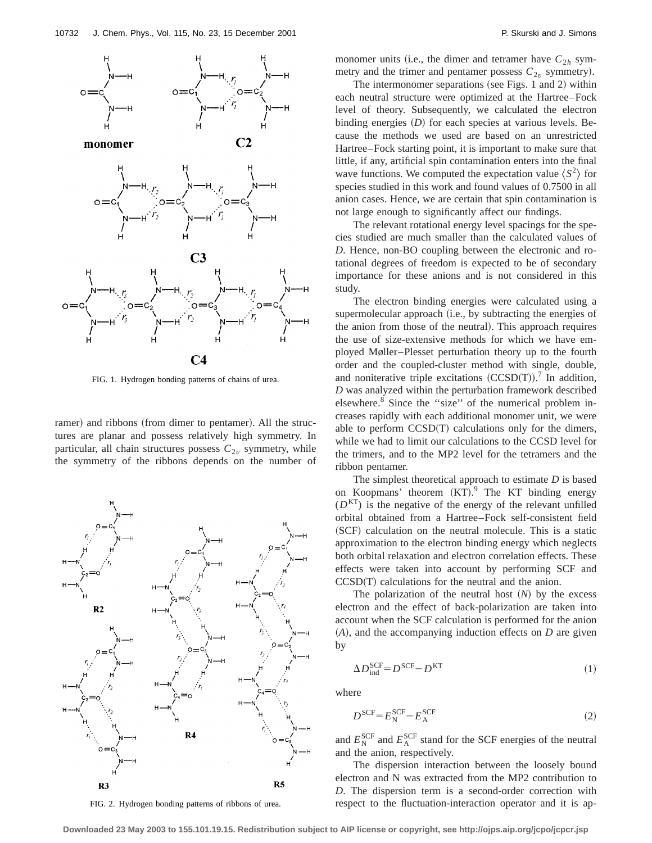

FIG. 1. Hydrogen bonding patterns of chains of urea.

ramer) and ribbons (from dimer to pentamer). All the structures are planar and possess relatively high symmetry. In particular, all chain structures possess  $C_{2v}$  symmetry, while the symmetry of the ribbons depends on the number of



FIG. 2. Hydrogen bonding patterns of ribbons of urea.

monomer units (i.e., the dimer and tetramer have  $C_{2h}$  symmetry and the trimer and pentamer possess  $C_{2v}$  symmetry).

The intermonomer separations (see Figs. 1 and 2) within each neutral structure were optimized at the Hartree–Fock level of theory. Subsequently, we calculated the electron binding energies  $(D)$  for each species at various levels. Because the methods we used are based on an unrestricted Hartree–Fock starting point, it is important to make sure that little, if any, artificial spin contamination enters into the final wave functions. We computed the expectation value  $\langle S^2 \rangle$  for species studied in this work and found values of 0.7500 in all anion cases. Hence, we are certain that spin contamination is not large enough to significantly affect our findings.

The relevant rotational energy level spacings for the species studied are much smaller than the calculated values of *D*. Hence, non-BO coupling between the electronic and rotational degrees of freedom is expected to be of secondary importance for these anions and is not considered in this study.

The electron binding energies were calculated using a supermolecular approach (i.e., by subtracting the energies of the anion from those of the neutral). This approach requires the use of size-extensive methods for which we have employed Møller–Plesset perturbation theory up to the fourth order and the coupled-cluster method with single, double, and noniterative triple excitations  $(CCSD(T))$ .<sup>7</sup> In addition, *D* was analyzed within the perturbation framework described elsewhere.<sup>8</sup> Since the "size" of the numerical problem increases rapidly with each additional monomer unit, we were able to perform  $CCSD(T)$  calculations only for the dimers, while we had to limit our calculations to the CCSD level for the trimers, and to the MP2 level for the tetramers and the ribbon pentamer.

The simplest theoretical approach to estimate *D* is based on Koopmans' theorem  $(KT)$ .<sup>9</sup> The KT binding energy  $(D<sup>KT</sup>)$  is the negative of the energy of the relevant unfilled orbital obtained from a Hartree–Fock self-consistent field (SCF) calculation on the neutral molecule. This is a static approximation to the electron binding energy which neglects both orbital relaxation and electron correlation effects. These effects were taken into account by performing SCF and  $CCSD(T)$  calculations for the neutral and the anion.

The polarization of the neutral host  $(N)$  by the excess electron and the effect of back-polarization are taken into account when the SCF calculation is performed for the anion  $(A)$ , and the accompanying induction effects on  $D$  are given by

$$
\Delta D_{\text{ind}}^{\text{SCF}} = D^{\text{SCF}} - D^{\text{KT}} \tag{1}
$$

where

$$
D^{\text{SCF}} = E^{\text{SCF}}_{\text{N}} - E^{\text{SCF}}_{\text{A}}
$$
 (2)

and  $E_{\rm N}^{\rm SCF}$  and  $E_{\rm A}^{\rm SCF}$  stand for the SCF energies of the neutral and the anion, respectively.

The dispersion interaction between the loosely bound electron and N was extracted from the MP2 contribution to *D*. The dispersion term is a second-order correction with respect to the fluctuation-interaction operator and it is ap-

**Downloaded 23 May 2003 to 155.101.19.15. Redistribution subject to AIP license or copyright, see http://ojps.aip.org/jcpo/jcpcr.jsp**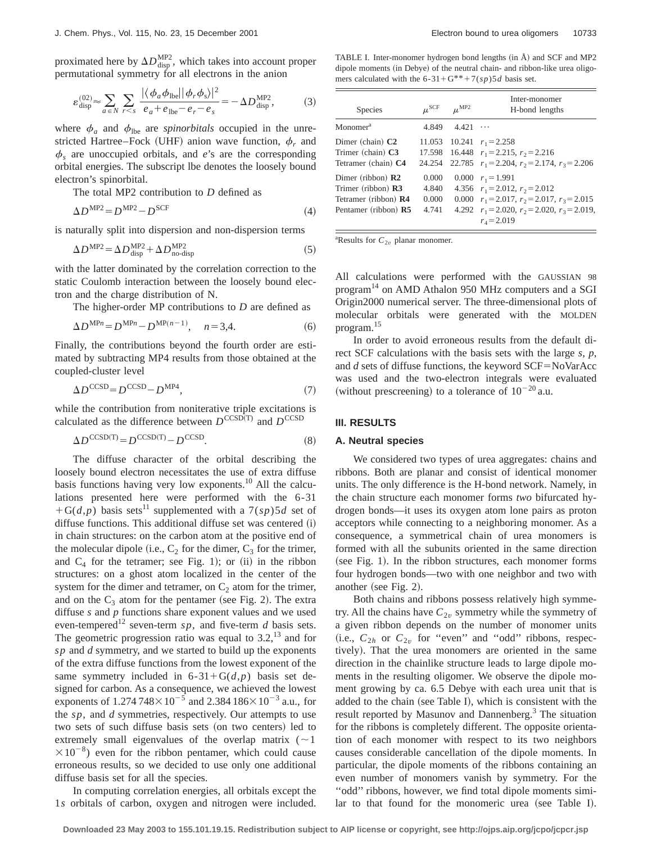proximated here by  $\Delta D_{\text{disp}}^{\text{MP2}}$ , which takes into account proper permutational symmetry for all electrons in the anion

$$
\varepsilon_{\text{disp}}^{(02)} \approx \sum_{a \in N} \sum_{r < s} \frac{|\langle \phi_a \phi_{\text{lbe}} | |\phi_r \phi_s \rangle|^2}{e_a + e_{\text{lbe}} - e_r - e_s} = -\Delta D_{\text{disp}}^{\text{MP2}},\tag{3}
$$

where  $\phi_a$  and  $\phi_{\text{lbe}}$  are *spinorbitals* occupied in the unrestricted Hartree–Fock (UHF) anion wave function,  $\phi_r$  and  $\phi_s$  are unoccupied orbitals, and *e*'s are the corresponding orbital energies. The subscript lbe denotes the loosely bound electron's spinorbital.

The total MP2 contribution to *D* defined as

$$
\Delta D^{\text{MP2}} = D^{\text{MP2}} - D^{\text{SCF}} \tag{4}
$$

is naturally split into dispersion and non-dispersion terms

$$
\Delta D^{\text{MP2}} = \Delta D_{\text{disp}}^{\text{MP2}} + \Delta D_{\text{no-disp}}^{\text{MP2}} \tag{5}
$$

with the latter dominated by the correlation correction to the static Coulomb interaction between the loosely bound electron and the charge distribution of N.

The higher-order MP contributions to *D* are defined as

$$
\Delta D^{\text{MP}n} = D^{\text{MP}n} - D^{\text{MP}(n-1)}, \quad n = 3, 4. \tag{6}
$$

Finally, the contributions beyond the fourth order are estimated by subtracting MP4 results from those obtained at the coupled-cluster level

$$
\Delta D^{\text{CCSD}} = D^{\text{CCSD}} - D^{\text{MP4}},\tag{7}
$$

while the contribution from noniterative triple excitations is calculated as the difference between  $D^{\text{CCSD(T)}}$  and  $D^{\text{CCSD}}$ 

$$
\Delta D^{\text{CCSD(T)}} = D^{\text{CCSD(T)}} - D^{\text{CCSD}}.\tag{8}
$$

The diffuse character of the orbital describing the loosely bound electron necessitates the use of extra diffuse basis functions having very low exponents.<sup>10</sup> All the calculations presented here were performed with the 6-31  $+G(d,p)$  basis sets<sup>11</sup> supplemented with a  $7(sp)5d$  set of diffuse functions. This additional diffuse set was centered  $(i)$ in chain structures: on the carbon atom at the positive end of the molecular dipole (i.e.,  $C_2$  for the dimer,  $C_3$  for the trimer, and  $C_4$  for the tetramer; see Fig. 1); or (ii) in the ribbon structures: on a ghost atom localized in the center of the system for the dimer and tetramer, on  $C_2$  atom for the trimer, and on the  $C_3$  atom for the pentamer (see Fig. 2). The extra diffuse *s* and *p* functions share exponent values and we used even-tempered<sup>12</sup> seven-term  $sp$ , and five-term *d* basis sets. The geometric progression ratio was equal to  $3.2<sup>13</sup>$  and for *sp* and *d* symmetry, and we started to build up the exponents of the extra diffuse functions from the lowest exponent of the same symmetry included in  $6-31+G(d,p)$  basis set designed for carbon. As a consequence, we achieved the lowest exponents of  $1.274748 \times 10^{-5}$  and  $2.384186 \times 10^{-3}$  a.u., for the *sp*, and *d* symmetries, respectively. Our attempts to use two sets of such diffuse basis sets (on two centers) led to extremely small eigenvalues of the overlap matrix  $($   $\sim$  1  $\times 10^{-8}$ ) even for the ribbon pentamer, which could cause erroneous results, so we decided to use only one additional diffuse basis set for all the species.

In computing correlation energies, all orbitals except the 1*s* orbitals of carbon, oxygen and nitrogen were included.

TABLE I. Inter-monomer hydrogen bond lengths (in Å) and SCF and MP2 dipole moments (in Debye) of the neutral chain- and ribbon-like urea oligomers calculated with the  $6-31+G^{**}+7(sp)5d$  basis set.

| Species                                                                                        | $\mu^{\rm SCF}$                  | $\mu^{\text{MP2}}$ | Inter-monomer<br>H-bond lengths                                                                                                                                                                |
|------------------------------------------------------------------------------------------------|----------------------------------|--------------------|------------------------------------------------------------------------------------------------------------------------------------------------------------------------------------------------|
| Monomer <sup>a</sup>                                                                           | 4.849                            | 4.421              | $\cdots$                                                                                                                                                                                       |
| Dimer (chain) C <sub>2</sub><br>Trimer (chain) C3<br>Tetramer (chain) C4                       | 24.254                           |                    | 11.053 10.241 $r_1 = 2.258$<br>17.598 16.448 $r_1 = 2.215$ , $r_2 = 2.216$<br>22.785 $r_1 = 2.204$ , $r_2 = 2.174$ , $r_3 = 2.206$                                                             |
| Dimer (ribbon) <b>R2</b><br>Trimer (ribbon) R3<br>Tetramer (ribbon) R4<br>Pentamer (ribbon) R5 | 0.000<br>4.840<br>0.000<br>4.741 |                    | $0.000 \t r_1 = 1.991$<br>4.356 $r_1 = 2.012$ , $r_2 = 2.012$<br>0.000 $r_1 = 2.017$ , $r_2 = 2.017$ , $r_3 = 2.015$<br>4.292 $r_1 = 2.020$ , $r_2 = 2.020$ , $r_3 = 2.019$ ,<br>$r_1 = 2.019$ |

<sup>a</sup>Results for  $C_{2v}$  planar monomer.

All calculations were performed with the GAUSSIAN 98 program<sup>14</sup> on AMD Athalon 950 MHz computers and a SGI Origin2000 numerical server. The three-dimensional plots of molecular orbitals were generated with the MOLDEN program.15

In order to avoid erroneous results from the default direct SCF calculations with the basis sets with the large *s*, *p*, and  $d$  sets of diffuse functions, the keyword  $SCF = NoVarAcc$ was used and the two-electron integrals were evaluated (without prescreening) to a tolerance of  $10^{-20}$  a.u.

## **III. RESULTS**

#### **A. Neutral species**

We considered two types of urea aggregates: chains and ribbons. Both are planar and consist of identical monomer units. The only difference is the H-bond network. Namely, in the chain structure each monomer forms *two* bifurcated hydrogen bonds—it uses its oxygen atom lone pairs as proton acceptors while connecting to a neighboring monomer. As a consequence, a symmetrical chain of urea monomers is formed with all the subunits oriented in the same direction (see Fig. 1). In the ribbon structures, each monomer forms four hydrogen bonds—two with one neighbor and two with another (see Fig.  $2$ ).

Both chains and ribbons possess relatively high symmetry. All the chains have  $C_{2v}$  symmetry while the symmetry of a given ribbon depends on the number of monomer units (i.e.,  $C_{2h}$  or  $C_{2v}$  for "even" and "odd" ribbons, respectively). That the urea monomers are oriented in the same direction in the chainlike structure leads to large dipole moments in the resulting oligomer. We observe the dipole moment growing by ca. 6.5 Debye with each urea unit that is added to the chain (see Table I), which is consistent with the result reported by Masunov and Dannenberg.<sup>3</sup> The situation for the ribbons is completely different. The opposite orientation of each monomer with respect to its two neighbors causes considerable cancellation of the dipole moments. In particular, the dipole moments of the ribbons containing an even number of monomers vanish by symmetry. For the "odd" ribbons, however, we find total dipole moments similar to that found for the monomeric urea (see Table I).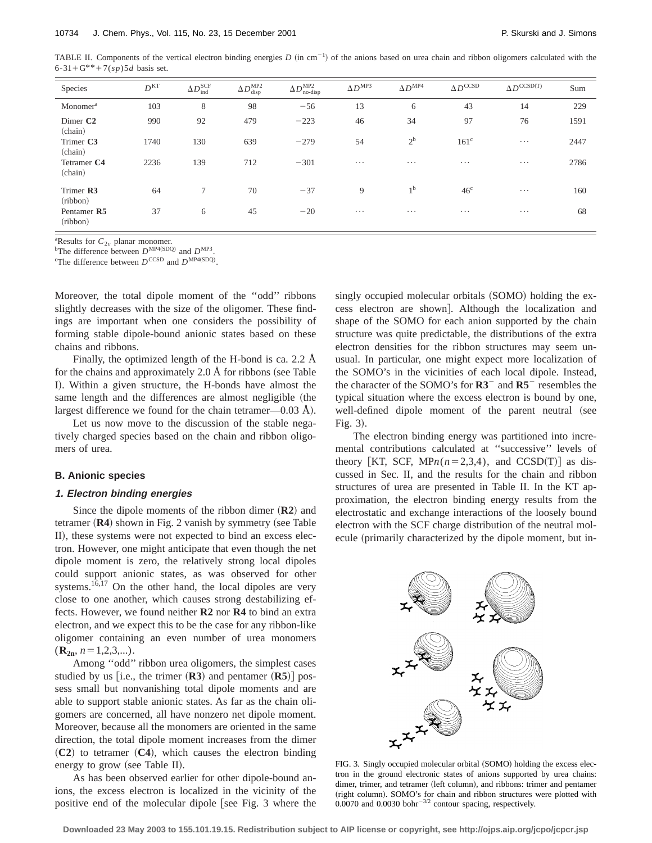TABLE II. Components of the vertical electron binding energies  $D$  (in cm<sup>-1</sup>) of the anions based on urea chain and ribbon oligomers calculated with the  $6-31+G^{**}+7(sp)5d$  basis set.

| Species                         | D <sup>KT</sup> | $\Delta D_{\rm ind}^{\rm SCF}$ | $\Delta D^{\rm MP2}_{\rm disp}$ | $\Delta D_{\text{no-disp}}^{\text{MP2}}$ | $\Delta D^{\text{MP3}}$ | $\Delta D^{\rm MP4}$ | $\Delta D^{\mathrm{CCSD}}$ | $\Delta D^{\mathrm{CCSD(T)}}$ | Sum  |
|---------------------------------|-----------------|--------------------------------|---------------------------------|------------------------------------------|-------------------------|----------------------|----------------------------|-------------------------------|------|
| Monomer <sup>a</sup>            | 103             | 8                              | 98                              | $-56$                                    | 13                      | 6                    | 43                         | 14                            | 229  |
| Dimer C <sub>2</sub><br>(chain) | 990             | 92                             | 479                             | $-223$                                   | 46                      | 34                   | 97                         | 76                            | 1591 |
| Trimer C3<br>(chain)            | 1740            | 130                            | 639                             | $-279$                                   | 54                      | $2^{\rm b}$          | $161^{\circ}$              | $\cdots$                      | 2447 |
| Tetramer C4<br>(chain)          | 2236            | 139                            | 712                             | $-301$                                   | $\cdots$                | $\cdots$             | $\cdots$                   | $\cdots$                      | 2786 |
| Trimer R3<br>(ribbon)           | 64              | 7                              | 70                              | $-37$                                    | 9                       | 1 <sup>b</sup>       | 46 <sup>c</sup>            | $\cdots$                      | 160  |
| Pentamer R5<br>(ribbon)         | 37              | 6                              | 45                              | $-20$                                    | $\cdots$                | $\cdots$             | $\cdots$                   | $\cdots$                      | 68   |

<sup>a</sup>Results for  $C_{2v}$  planar monomer.

<sup>b</sup>The difference between  $D^{\text{MP4(SDQ)}}$  and  $D^{\text{MP3}}$ .

<sup>c</sup>The difference between  $D^{\text{CCSD}}$  and  $D^{\text{MP4(SDQ)}}$ .

Moreover, the total dipole moment of the ''odd'' ribbons slightly decreases with the size of the oligomer. These findings are important when one considers the possibility of forming stable dipole-bound anionic states based on these chains and ribbons.

Finally, the optimized length of the H-bond is ca. 2.2 Å for the chains and approximately  $2.0$  Å for ribbons (see Table I). Within a given structure, the H-bonds have almost the same length and the differences are almost negligible (the largest difference we found for the chain tetramer—0.03  $\AA$ ).

Let us now move to the discussion of the stable negatively charged species based on the chain and ribbon oligomers of urea.

#### **B. Anionic species**

#### **1. Electron binding energies**

Since the dipole moments of the ribbon dimer  $(R2)$  and tetramer  $(R4)$  shown in Fig. 2 vanish by symmetry (see Table II), these systems were not expected to bind an excess electron. However, one might anticipate that even though the net dipole moment is zero, the relatively strong local dipoles could support anionic states, as was observed for other systems.<sup>16,17</sup> On the other hand, the local dipoles are very close to one another, which causes strong destabilizing effects. However, we found neither **R2** nor **R4** to bind an extra electron, and we expect this to be the case for any ribbon-like oligomer containing an even number of urea monomers  $(\mathbf{R}_{2n}, n=1,2,3,...).$ 

Among ''odd'' ribbon urea oligomers, the simplest cases studied by us [i.e., the trimer  $(R3)$  and pentamer  $(R5)$ ] possess small but nonvanishing total dipole moments and are able to support stable anionic states. As far as the chain oligomers are concerned, all have nonzero net dipole moment. Moreover, because all the monomers are oriented in the same direction, the total dipole moment increases from the dimer  $({\bf C2})$  to tetramer  $({\bf C4})$ , which causes the electron binding energy to grow (see Table II).

As has been observed earlier for other dipole-bound anions, the excess electron is localized in the vicinity of the positive end of the molecular dipole [see Fig. 3 where the singly occupied molecular orbitals (SOMO) holding the excess electron are shown]. Although the localization and shape of the SOMO for each anion supported by the chain structure was quite predictable, the distributions of the extra electron densities for the ribbon structures may seem unusual. In particular, one might expect more localization of the SOMO's in the vicinities of each local dipole. Instead, the character of the SOMO's for **R3**<sup>-</sup> and **R5**<sup>-</sup> resembles the typical situation where the excess electron is bound by one, well-defined dipole moment of the parent neutral (see Fig.  $3$ ).

The electron binding energy was partitioned into incremental contributions calculated at ''successive'' levels of theory [KT, SCF, MP $n(n=2,3,4)$ , and CCSD(T)] as discussed in Sec. II, and the results for the chain and ribbon structures of urea are presented in Table II. In the KT approximation, the electron binding energy results from the electrostatic and exchange interactions of the loosely bound electron with the SCF charge distribution of the neutral molecule (primarily characterized by the dipole moment, but in-



FIG. 3. Singly occupied molecular orbital (SOMO) holding the excess electron in the ground electronic states of anions supported by urea chains: dimer, trimer, and tetramer (left column), and ribbons: trimer and pentamer (right column). SOMO's for chain and ribbon structures were plotted with 0.0070 and 0.0030 bohr<sup> $-3/2$ </sup> contour spacing, respectively.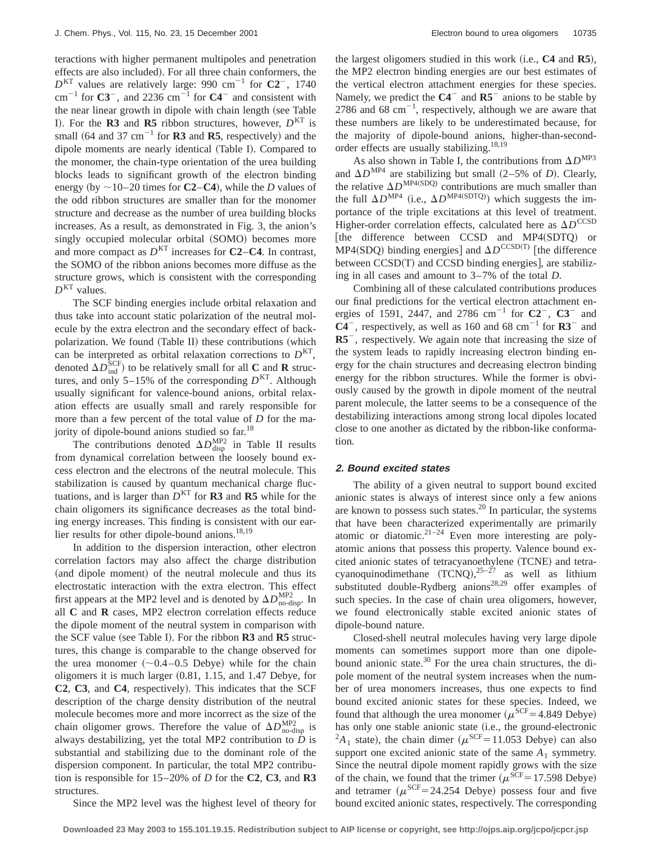teractions with higher permanent multipoles and penetration effects are also included). For all three chain conformers, the  $D<sup>KT</sup>$  values are relatively large: 990 cm<sup>-1</sup> for  $C2^-$ , 1740  $cm^{-1}$  for  $C3^-$ , and 2236  $cm^{-1}$  for  $C4^-$  and consistent with the near linear growth in dipole with chain length (see Table I). For the **R3** and **R5** ribbon structures, however,  $D<sup>KT</sup>$  is small  $(64 \text{ and } 37 \text{ cm}^{-1} \text{ for } \mathbb{R}3 \text{ and } \mathbb{R}5 \text{, respectively})$  and the dipole moments are nearly identical (Table I). Compared to the monomer, the chain-type orientation of the urea building blocks leads to significant growth of the electron binding energy (by  $\sim$ 10–20 times for **C2–C4**), while the *D* values of the odd ribbon structures are smaller than for the monomer structure and decrease as the number of urea building blocks increases. As a result, as demonstrated in Fig. 3, the anion's singly occupied molecular orbital (SOMO) becomes more and more compact as  $D^{KT}$  increases for **C2–C4**. In contrast, the SOMO of the ribbon anions becomes more diffuse as the structure grows, which is consistent with the corresponding  $D<sup>KT</sup>$  values.

The SCF binding energies include orbital relaxation and thus take into account static polarization of the neutral molecule by the extra electron and the secondary effect of backpolarization. We found Table II) these contributions which can be interpreted as orbital relaxation corrections to  $D<sup>KT</sup>$ , denoted  $\Delta D_{\text{ind}}^{\text{SCF}}$  to be relatively small for all **C** and **R** structures, and only 5–15% of the corresponding  $D<sup>KT</sup>$ . Although usually significant for valence-bound anions, orbital relaxation effects are usually small and rarely responsible for more than a few percent of the total value of *D* for the majority of dipole-bound anions studied so far.<sup>18</sup>

The contributions denoted  $\Delta D_{\text{disp}}^{\text{MP2}}$  in Table II results from dynamical correlation between the loosely bound excess electron and the electrons of the neutral molecule. This stabilization is caused by quantum mechanical charge fluctuations, and is larger than  $D<sup>KT</sup>$  for **R3** and **R5** while for the chain oligomers its significance decreases as the total binding energy increases. This finding is consistent with our earlier results for other dipole-bound anions.<sup>18,19</sup>

In addition to the dispersion interaction, other electron correlation factors may also affect the charge distribution (and dipole moment) of the neutral molecule and thus its electrostatic interaction with the extra electron. This effect first appears at the MP2 level and is denoted by  $\Delta D_{\text{no-disp}}^{\text{MP2}}$ . In all **C** and **R** cases, MP2 electron correlation effects reduce the dipole moment of the neutral system in comparison with the SCF value (see Table I). For the ribbon **R3** and **R5** structures, this change is comparable to the change observed for the urea monomer  $(\sim 0.4-0.5$  Debye) while for the chain oligomers it is much larger  $(0.81, 1.15,$  and 1.47 Debye, for **C2**, **C3**, and **C4**, respectively). This indicates that the SCF description of the charge density distribution of the neutral molecule becomes more and more incorrect as the size of the chain oligomer grows. Therefore the value of  $\Delta D_{\text{no-disp}}^{\text{MP2}}$  is always destabilizing, yet the total MP2 contribution to  $\dot{D}$  is substantial and stabilizing due to the dominant role of the dispersion component. In particular, the total MP2 contribution is responsible for 15–20% of *D* for the **C2**, **C3**, and **R3** structures.

the largest oligomers studied in this work ~i.e., **C4** and **R5**!, the MP2 electron binding energies are our best estimates of the vertical electron attachment energies for these species. Namely, we predict the  $C4^-$  and  $R5^-$  anions to be stable by 2786 and 68  $\text{cm}^{-1}$ , respectively, although we are aware that these numbers are likely to be underestimated because, for the majority of dipole-bound anions, higher-than-secondorder effects are usually stabilizing.18,19

As also shown in Table I, the contributions from  $\Delta D^{MP3}$ and  $\Delta D^{MP4}$  are stabilizing but small (2–5% of *D*). Clearly, the relative  $\Delta D^{\text{MP4}(\text{SDQ})}$  contributions are much smaller than the full  $\Delta D^{MP4}$  (i.e.,  $\Delta D^{MP4(SDTQ)}$ ) which suggests the importance of the triple excitations at this level of treatment. Higher-order correlation effects, calculated here as  $\Delta D^{\text{CCSD}}$ [the difference between  $CCSD$  and  $MP4(SDTQ)$  or MP4(SDQ) binding energies] and  $\Delta D^{\text{CCSD(T)}}$  [the difference between  $CCSD(T)$  and  $CCSD$  binding energies], are stabilizing in all cases and amount to 3–7% of the total *D*.

Combining all of these calculated contributions produces our final predictions for the vertical electron attachment energies of 1591, 2447, and 2786  $cm^{-1}$  for  $C2^-$ ,  $C3^-$  and  $C4^-$ , respectively, as well as 160 and 68 cm<sup>-1</sup> for  $R3^-$  and **R5**<sup>-</sup>, respectively. We again note that increasing the size of the system leads to rapidly increasing electron binding energy for the chain structures and decreasing electron binding energy for the ribbon structures. While the former is obviously caused by the growth in dipole moment of the neutral parent molecule, the latter seems to be a consequence of the destabilizing interactions among strong local dipoles located close to one another as dictated by the ribbon-like conformation.

## **2. Bound excited states**

The ability of a given neutral to support bound excited anionic states is always of interest since only a few anions are known to possess such states. $^{20}$  In particular, the systems that have been characterized experimentally are primarily atomic or diatomic.<sup>21–24</sup> Even more interesting are polyatomic anions that possess this property. Valence bound excited anionic states of tetracyanoethylene (TCNE) and tetracyanoquinodimethane  $(TCNO)$ ,  $^{25-27}$  as well as lithium substituted double-Rydberg anions<sup>28,29</sup> offer examples of such species. In the case of chain urea oligomers, however, we found electronically stable excited anionic states of dipole-bound nature.

Closed-shell neutral molecules having very large dipole moments can sometimes support more than one dipolebound anionic state. $30$  For the urea chain structures, the dipole moment of the neutral system increases when the number of urea monomers increases, thus one expects to find bound excited anionic states for these species. Indeed, we found that although the urea monomer ( $\mu^{\text{SCF}}$ =4.849 Debye) has only one stable anionic state (i.e., the ground-electronic  ${}^{2}A_{1}$  state), the chain dimer ( $\mu^{SCF}=11.053$  Debye) can also support one excited anionic state of the same  $A_1$  symmetry. Since the neutral dipole moment rapidly grows with the size of the chain, we found that the trimer  $(\mu^{\text{SCF}}=17.598 \text{ Debye})$ and tetramer  $(\mu^{\text{SCF}}=24.254 \text{ Debye})$  possess four and five bound excited anionic states, respectively. The corresponding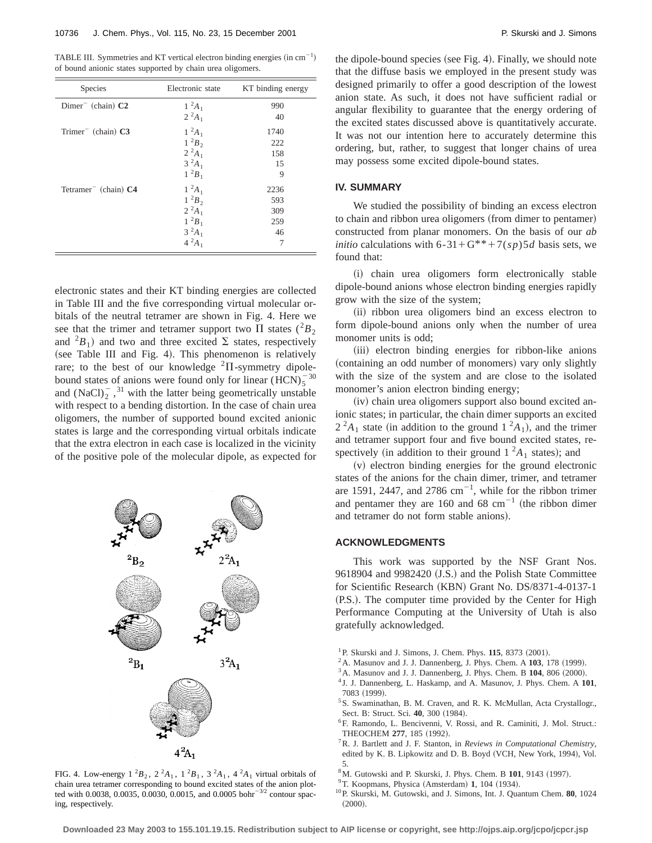TABLE III. Symmetries and KT vertical electron binding energies  $(in cm^{-1})$ of bound anionic states supported by chain urea oligomers.

| Species                                       | Electronic state | KT binding energy |
|-----------------------------------------------|------------------|-------------------|
| $Dimer$ (chain) $C2$                          | $1^2A_1$         | 990               |
|                                               | $2^2A_1$         | 40                |
| Trimer <sup><math>-</math></sup> (chain) $C3$ | $1^2A_1$         | 1740              |
|                                               | $1^2B_2$         | 222               |
|                                               | $2^2A_1$         | 158               |
|                                               | $3^{2}A_{1}$     | 15                |
|                                               | $1^{2}B_{1}$     | 9                 |
| Tetramer <sup><math>-</math></sup> (chain) C4 | $1^2A_1$         | 2236              |
|                                               | $1^2B_2$         | 593               |
|                                               | $2^2A_1$         | 309               |
|                                               | $1^2B_1$         | 259               |
|                                               | $3^{2}A_{1}$     | 46                |
|                                               | $4^{2}A_1$       | 7                 |

electronic states and their KT binding energies are collected in Table III and the five corresponding virtual molecular orbitals of the neutral tetramer are shown in Fig. 4. Here we see that the trimer and tetramer support two  $\Pi$  states  $({}^2B_2)$ and  ${}^{2}B_{1}$  and two and three excited  $\Sigma$  states, respectively (see Table III and Fig. 4). This phenomenon is relatively rare; to the best of our knowledge  ${}^{2}\Pi$ -symmetry dipolebound states of anions were found only for linear  $(HCN)_5^{-30}$ and  $(NaCl)<sub>2</sub>$ , <sup>31</sup> with the latter being geometrically unstable with respect to a bending distortion. In the case of chain urea oligomers, the number of supported bound excited anionic states is large and the corresponding virtual orbitals indicate that the extra electron in each case is localized in the vicinity of the positive pole of the molecular dipole, as expected for



FIG. 4. Low-energy  $1^2B_2$ ,  $2^2A_1$ ,  $1^2B_1$ ,  $3^2A_1$ ,  $4^2A_1$  virtual orbitals of chain urea tetramer corresponding to bound excited states of the anion plotted with 0.0038, 0.0035, 0.0030, 0.0015, and 0.0005 bohr<sup>-3/2</sup> contour spacing, respectively.

the dipole-bound species (see Fig. 4). Finally, we should note that the diffuse basis we employed in the present study was designed primarily to offer a good description of the lowest anion state. As such, it does not have sufficient radial or angular flexibility to guarantee that the energy ordering of the excited states discussed above is quantitatively accurate. It was not our intention here to accurately determine this ordering, but, rather, to suggest that longer chains of urea may possess some excited dipole-bound states.

## **IV. SUMMARY**

We studied the possibility of binding an excess electron to chain and ribbon urea oligomers (from dimer to pentamer) constructed from planar monomers. On the basis of our *ab initio* calculations with 6-31+G<sup>\*\*</sup>+7(*sp*)5*d* basis sets, we found that:

(i) chain urea oligomers form electronically stable dipole-bound anions whose electron binding energies rapidly grow with the size of the system;

(ii) ribbon urea oligomers bind an excess electron to form dipole-bound anions only when the number of urea monomer units is odd;

(iii) electron binding energies for ribbon-like anions (containing an odd number of monomers) vary only slightly with the size of the system and are close to the isolated monomer's anion electron binding energy;

 $(iv)$  chain urea oligomers support also bound excited anionic states; in particular, the chain dimer supports an excited  $2^2A_1$  state (in addition to the ground  $1^2A_1$ ), and the trimer and tetramer support four and five bound excited states, respectively (in addition to their ground  $1 \, 2A_1$  states); and

 $(v)$  electron binding energies for the ground electronic states of the anions for the chain dimer, trimer, and tetramer are 1591, 2447, and 2786  $cm^{-1}$ , while for the ribbon trimer and pentamer they are 160 and 68  $cm^{-1}$  (the ribbon dimer and tetramer do not form stable anions).

#### **ACKNOWLEDGMENTS**

This work was supported by the NSF Grant Nos. 9618904 and 9982420 (J.S.) and the Polish State Committee for Scientific Research (KBN) Grant No. DS/8371-4-0137-1 (P.S.). The computer time provided by the Center for High Performance Computing at the University of Utah is also gratefully acknowledged.

- $^{1}$  P. Skurski and J. Simons, J. Chem. Phys.  $115$ , 8373 (2001).
- $2$ A. Masunov and J. J. Dannenberg, J. Phys. Chem. A  $103$ , 178 (1999).
- $3A$ . Masunov and J. J. Dannenberg, J. Phys. Chem. B  $104$ , 806  $(2000)$ .
- <sup>4</sup> J. J. Dannenberg, L. Haskamp, and A. Masunov, J. Phys. Chem. A **101**, 7083 (1999).
- <sup>5</sup>S. Swaminathan, B. M. Craven, and R. K. McMullan, Acta Crystallogr., Sect. B: Struct. Sci. 40, 300 (1984).
- 6F. Ramondo, L. Bencivenni, V. Rossi, and R. Caminiti, J. Mol. Struct.: THEOCHEM 277, 185 (1992).
- 7R. J. Bartlett and J. F. Stanton, in *Reviews in Computational Chemistry*, edited by K. B. Lipkowitz and D. B. Boyd (VCH, New York, 1994), Vol. 5.
- <sup>8</sup>M. Gutowski and P. Skurski, J. Phys. Chem. B 101, 9143 (1997).
- <sup>9</sup>T. Koopmans, Physica (Amsterdam) 1, 104 (1934).
- 10P. Skurski, M. Gutowski, and J. Simons, Int. J. Quantum Chem. **80**, 1024  $(2000)$ .

**Downloaded 23 May 2003 to 155.101.19.15. Redistribution subject to AIP license or copyright, see http://ojps.aip.org/jcpo/jcpcr.jsp**